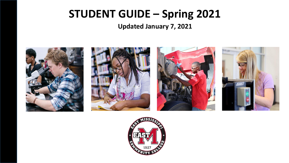### **STUDENT GUIDE – Spring 2021**

**Updated January 7, 2021**



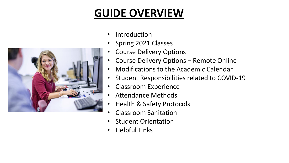### **GUIDE OVERVIEW**

- **Introduction**
- Spring 2021 Classes
- Course Delivery Options
- Course Delivery Options Remote Online
- Modifications to the Academic Calendar
- Student Responsibilities related to COVID-19
- Classroom Experience
- Attendance Methods
- Health & Safety Protocols
- Classroom Sanitation
- Student Orientation
- Helpful Links

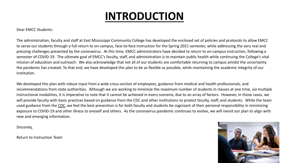### **INTRODUCTION**

Dear EMCC Students:

The administration, faculty and staff at East Mississippi Community College has developed the enclosed set of policies and protocols to allow EMCC to serve our students through a full return to on-campus, face-to-face instruction for the Spring 2021 semester, while addressing the very real and pressing challenges presented by the coronavirus. At this time, EMCC administrators have decided to return to on-campus instruction, following a semester of COVID-19. The ultimate goal of EMCC's faculty, staff, and administration is to maintain public health while continuing the College's vital mission of education and outreach. We also acknowledge that not all of our students are comfortable returning to campus amidst the uncertainty the pandemic has created. To that end, we have developed this plan to be as flexible as possible, while maintaining the academic integrity of our institution.

We developed this plan with robust input from a wide cross-section of employees, guidance from medical and health professionals, and recommendations from state authorities. Although we are working to minimize the maximum number of students in classes at one time, via multiple instructional modalities, it is imperative to note that it cannot be achieved in every scenario, due to an array of factors. However, in those cases, we will provide faculty with basic practices based on guidance from the CDC and other institutions to protect faculty, staff, and students. While the team used guidance from the [CDC](https://www.cdc.gov/coronavirus/2019-ncov/community/colleges-universities/considerations.html), we feel the best prevention is for both faculty and students be cognizant of their personal responsibility in minimizing exposure to COVID-19 and other illness to oneself and others. As the coronavirus pandemic continues to evolve, we will revisit our plan to align with new and emerging information.

Sincerely,

Return to Instruction Team

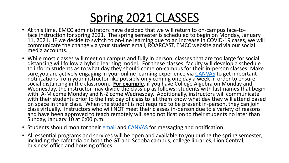

- At this time, EMCC administrators have decided that we will return to on-campus face-toface instruction for spring 2021. The spring semester is scheduled to begin on Monday, January 11, 2021. IF we decide to switch to on-line learning due to an increase in COVID-19 cases, we will communicate the change via your student email, ROARCAST, EMCC website and via our social media accounts.
- While most classes will meet on campus and fully in person, classes that are too large for social distancing will follow a hybrid learning model. For these classes, faculty will develop a schedule to inform students as to what day they should come on-campus for their in-person classes. Make sure you are actively engaging in your online learning experience via [CANVAS](http://canvas.eastms.edu/) to get important notifications from your instructor like possibly only coming one day a week in order to ensure social distancing in the classroom. **For example**, if you have College Algebra on Monday and Wednesday, the instructor may divide the class up as follows: students with last names that begin with A-M come Monday and N-Z come Wednesday. Additionally, instructors will communicate  $\,$ with their students prior to the first day of class to let them know what day they will attend based on space in their class. When the student is not required to be present in-person, they can join class virtually. Instructors who will NOT meet their classes in-person due to a variety of reasons and have been approved to teach remotely will send notification to their students no later than Sunday, January 10 at 6:00 p.m.
- Students should monitor their **email** and **[CANVAS](http://canvas.eastms.edu/)** for messaging and notification.
- All essential programs and services will be open and available to you during the spring semester, including the cafeteria on both the GT and Scooba campus, college libraries, Lion Central, business office and housing offices.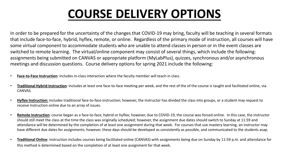# **COURSE DELIVERY OPTIONS**

In order to be prepared for the uncertainty of the changes that COVID-19 may bring, faculty will be teaching in several formats that include face-to-face, hybrid, hyflex, remote, or online. Regardless of the primary mode of instruction, all courses will have some virtual component to accommodate students who are unable to attend classes in person or in the event classes are switched to remote learning. The virtual/online component may consist of several things, which include the following: assignments being submitted on CANVAS or appropriate platform (MyLabPlus), quizzes, synchronous and/or asynchronous meetings and discussion questions. Course delivery options for spring 2021 include the following:

- **Face-to-Face Instruction**: includes in-class interaction where the faculty member will teach in class.
- **Traditional Hybrid Instruction**: includes at least one face-to-face meeting per week, and the rest of the of the course is taught and facilitated online, via CANVAS.
- **Hyflex Instruction:** includes traditional face-to-face instruction; however, the instructor has divided the class into groups, or a student may request to receive instruction online due to an array of issues.
- **Remote Instruction**: course began as a face-to-face, hybrid or hyflex; however, due to COVID-19, the course was forced online. In this case, the instructor should still meet the class at the time the class was originally scheduled; however, the assignment due dates should switch to Sunday at 11:59 and attendance will be determined by the completion of at least one assignment during that week. For courses that use mastery learning, an instructor may have different due dates for assignments; however, these days should be developed as consistently as possible, and communicated to the students asap.
- **Traditional Online**: instruction includes courses being facilitated online (CANVAS) with assignments being due on Sunday by 11:59 p.m. and attendance for this method is determined based on the completion of at least one assignment for that week.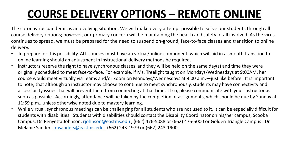## **COURSE DELIVERY OPTIONS – REMOTE ONLINE**

The coronavirus pandemic is an evolving situation. We will make every attempt possible to serve our students through all course delivery options; however, our primary concern will be maintaining the health and safety of all involved. As the virus continues to spread, we must be prepared for the need to suspend on-ground, face-to-face classes and transition to online delivery.

- To prepare for this possibility, ALL courses must have an virtual/online component, which will aid in a smooth transition to online learning should an adjustment in instructional delivery methods be required.
- Instructors reserve the right to have synchronous classes and they will be held on the same day(s) and time they were originally scheduled to meet face-to-face. For example, if Ms. Treelight taught on Mondays/Wednesdays at 9:00AM, her course would meet virtually via Teams and/or Zoom on Mondays/Wednesdays at 9:00 a.m.—just like before. It is important to note, that although an instructor may choose to continue to meet synchronously, students may have connectivity and accessibility issues that will prevent them from connecting at that time. If so, please communicate with your instructor as soon as possible. Accordingly, attendance will be taken by the completion of assignments, which should be due by Sunday at 11:59 p.m., unless otherwise noted due to mastery learning.
- While virtual, synchronous meetings can be challenging for all students who are not used to it, it can be especially difficult for students with disabilities. Students with disabilities should contact the Disability Coordinator on his/her campus, Scooba Campus: Dr. Renyetta Johnson, [rjohnson@eastms.edu ,](mailto:rjohnson@eastms.edu) (662) 476-5088 or (662) 476-5000 or Golden Triangle Campus: Dr. Melanie Sanders, [msanders@eastms.edu](mailto:msanders@eastms.edu) , (662) 243-1979 or (662) 243-1900.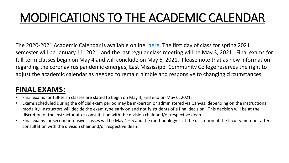# MODIFICATIONS TO THE ACADEMIC CALENDAR

The 2020-2021 Academic Calendar is available online, [here.](http://www.eastms.edu/current-students/academic-calendar/academiccalendar2020-2021v2.pdf) The first day of class for spring 2021 semester will be January 11, 2021, and the last regular class meeting will be May 3, 2021. Final exams for full-term classes begin on May 4 and will conclude on May 6, 2021. Please note that as new information regarding the coronavirus pandemic emerges, East Mississippi Community College reserves the right to adjust the academic calendar as needed to remain nimble and responsive to changing circumstances.

#### **FINAL EXAMS:**

- Final exams for full-term classes are slated to begin on May 4, and end on May 6, 2021.
- Exams scheduled during the official exam period may be in-person or administered via Canvas, depending on the instructional modality. Instructors will decide the exam type early on and notify students of a final decision. This decision will be at the discretion of the instructor after consultation with the division chair and/or respective dean.
- Final exams for second intensive classes will be May 4 5 and the methodology is at the discretion of the faculty member after consultation with the division chair and/or respective dean.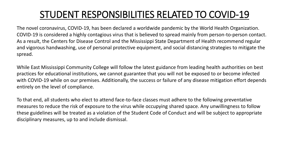### STUDENT RESPONSIBILITIES RELATED TO COVID-19

The novel coronavirus, COVID-19, has been declared a worldwide pandemic by the World Health Organization. COVID-19 is considered a highly contagious virus that is believed to spread mainly from person-to-person contact. As a result, the Centers for Disease Control and the Mississippi State Department of Health recommend regular and vigorous handwashing, use of personal protective equipment, and social distancing strategies to mitigate the spread.

While East Mississippi Community College will follow the latest guidance from leading health authorities on best practices for educational institutions, we cannot guarantee that you will not be exposed to or become infected with COVID-19 while on our premises. Additionally, the success or failure of any disease mitigation effort depends entirely on the level of compliance.

To that end, all students who elect to attend face-to-face classes must adhere to the following preventative measures to reduce the risk of exposure to the virus while occupying shared space. Any unwillingness to follow these guidelines will be treated as a violation of the Student Code of Conduct and will be subject to appropriate disciplinary measures, up to and include dismissal.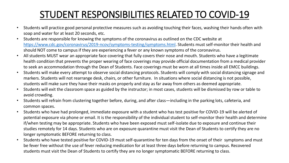### STUDENT RESPONSIBILITIES RELATED TO COVID-19

- Students will practice good personal protective measures such as avoiding touching their faces, washing their hands often with soap and water for at least 20 seconds, etc.
- Students are responsible for knowing the symptoms of the coronavirus as outlined on the CDC website at <https://www.cdc.gov/coronavirus/2019-ncov/symptoms-testing/symptoms.html>. Students must self-monitor their health and should NOT come to campus if they are experiencing a fever or any known symptoms of the coronavirus.
- All students MUST wear an appropriate face covering that fully covers their nose and mouth. Students who have a legitimate health condition that prevents the proper wearing of face coverings may provide official documentation from a medical provider to seek an accommodation through the Dean of Students. Face coverings must be worn at all times inside all EMCC buildings.
- Students will make every attempt to observe social distancing protocols. Students will comply with social distancing signage and markers. Students will not rearrange desk, chairs, or other furniture. In situations where social distancing is not possible, students will make sure they have their masks on properly and stay as far away from others as deemed appropriate.
- Students will exit the classroom space as guided by the instructor; in most cases, students will be dismissed by row or table to avoid crowding.
- Students will refrain from clustering together before, during, and after class—including in the parking lots, cafeteria, and common spaces.
- Students who have had prolonged, immediate exposure with a student who has test positive for COVID-19 will be alerted of potential exposure via phone or email. It is the responsibility of the individual student to self-monitor their health and determine if/when testing may be appropriate. Students who have been exposed must self-isolate due to exposure and continue their studies remotely for 14 days. Students who are on exposure quarantine must visit the Dean of Students to certify they are no longer symptomatic BEFORE returning to class.
- Students who have tested positive for COVID-19 must self-quarantine for ten days from the onset of their symptoms and must be fever free without the use of fever reducing medication for at least three days before returning to campus. Recovered students must visit the Dean of Students to certify they are no longer symptomatic BEFORE returning to class.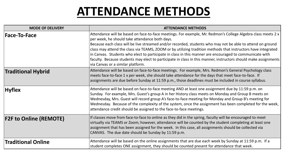## **ATTENDANCE METHODS**

| <b>MODE OF DELIVERY</b>       | <b>ATTENDANCE METHODS</b>                                                                                                                                                                                                                                                                                                                                                                                                                                                                                                                                                                                                                                        |
|-------------------------------|------------------------------------------------------------------------------------------------------------------------------------------------------------------------------------------------------------------------------------------------------------------------------------------------------------------------------------------------------------------------------------------------------------------------------------------------------------------------------------------------------------------------------------------------------------------------------------------------------------------------------------------------------------------|
| <b>Face-To-Face</b>           | Attendance will be based on face-to-face meetings. For example, Mr. Redmon's College Algebra class meets 2 x<br>per week, he should take attendance both days.<br>Because each class will be live streamed and/or recorded, students who may not be able to attend on ground<br>class may attend the class via TEAMS, ZOOM or by utilizing tradition methods that instructors have integrated<br>in Canvas. Students who elect to participate in class in this manner are encouraged to communicate with<br>faculty. Because students may elect to participate in class in this manner, instructors should make assignments<br>via Canvas or a similar platform. |
| <b>Traditional Hybrid</b>     | Attendance will be based on face-to-face meetings. For example, Mrs. Redmon's General Psychology class<br>meets face-to-face 1 x per week, she should take attendance for the days that meet face-to-face. If<br>assignments are due before Sunday at 11:59 p.m., those deadlines must be included in course syllabus.                                                                                                                                                                                                                                                                                                                                           |
| <b>Hyflex</b>                 | Attendance will be based on face-to-face meeting AND at least one assignment due by 11:59 p.m. on<br>Sunday. For example, Mrs. Guest's group A in her History class meets on Monday and Group B meets on<br>Wednesday, Mrs. Guest will record group A's face-to-face meeting for Monday and Group B's meeting for<br>Wednesday. Because of the complexity of the system, once the assignment has been completed for the week,<br>attendance credit should be assigned to the face-to-face meetings.                                                                                                                                                              |
| <b>F2F to Online (REMOTE)</b> | If classes move from face-to-face to online as they did in the spring, faculty will be encouraged to meet<br>virtually via TEAMS or Zoom; however, attendance will be counted by the student completing at least one<br>assignment that has been assigned for the week. In this case, all assignments should be collected via<br>CANVAS. The due date should be Sunday by 11:59 p.m.                                                                                                                                                                                                                                                                             |
| <b>Traditional Online</b>     | Attendance will be based on the online assignments that are due each week by Sunday at 11:59 p.m. If a<br>student completes ONE assignment, they should be counted present for attendance that week.                                                                                                                                                                                                                                                                                                                                                                                                                                                             |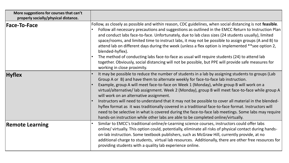| More suggestions for courses that can't<br>properly socially/physical distance. |                                                                                                                                                                                                                                                                                                                                                                                                                                                                                                                                                                                                                                                                                                                                                                                                                                                 |
|---------------------------------------------------------------------------------|-------------------------------------------------------------------------------------------------------------------------------------------------------------------------------------------------------------------------------------------------------------------------------------------------------------------------------------------------------------------------------------------------------------------------------------------------------------------------------------------------------------------------------------------------------------------------------------------------------------------------------------------------------------------------------------------------------------------------------------------------------------------------------------------------------------------------------------------------|
| <b>Face-To-Face</b>                                                             | Follow, as closely as possible and within reason, CDC guidelines, when social distancing is not feasible.<br>Follow all necessary precautions and suggestions as outlined in the EMCC Return to Instruction Plan<br>and conduct labs face-to-face. Unfortunately, due to lab class sizes (24 students usually), limited<br>space/rooms, and limited time to instruct labs, it may not be possible to assign groups (A and B) to<br>attend lab on different days during the week (unless a flex option is implemented **see option 2,<br>blended-hyflex).<br>The method of conducting labs face-to-face as usual will require students (24) to attend lab<br>together. Obviously, social distancing will not be possible, but PPE will provide safe measures for<br>working in close proximity.                                                  |
| <b>Hyflex</b>                                                                   | It may be possible to reduce the number of students in a lab by assigning students to groups (Lab<br>Group A or B) and have them to alternate weekly for face-to-face lab instruction.<br>Example, group A will meet face-to-face on Week 1 (Monday), while group B will work on a<br>virtual/alternative/ lab assignment. Week 2 (Monday), group B will meet face-to-face while group A<br>will work on an alternative assignment.<br>Instructors will need to understand that it may not be possible to cover all material in the blended-<br>hyflex format as it was traditionally covered in a traditional face-to-face format. Instructors will<br>need to be selective in what is covered during the face-to-face lab meetings. Some labs may require<br>hands-on instruction while other labs are able to be completed online/virtually. |
| <b>Remote Learning</b>                                                          | Similar to EMCC's traditional online/e-Learning science courses, instructors could offer labs<br>online/ virtually. This option could, potentially, eliminate all risks of physical contact during hands-<br>on-lab instruction. Some textbook publishers, such as McGraw Hill, currently provide, at no<br>additional charge to students, virtual lab resources. Additionally, there are other free resources for<br>providing students with a quality lab experience online.                                                                                                                                                                                                                                                                                                                                                                  |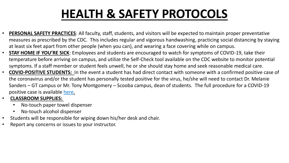# **HEALTH & SAFETY PROTOCOLS**

- **PERSONAL SAFETY PRACTICES**: All faculty, staff, students, and visitors will be expected to maintain proper preventative measures as prescribed by the CDC. This includes regular and vigorous handwashing, practicing social distancing by staying at least six feet apart from other people (when you can), and wearing a face covering while on campus.
- **STAY HOME IF YOU'RE SICK**: Employees and students are encouraged to watch for symptoms of COVID-19, take their temperature before arriving on campus, and utilize the Self-Check tool available on the CDC website to monitor potential symptoms. If a staff member or student feels unwell, he or she should stay home and seek reasonable medical care.
- **COVID-POSITIVE STUDENTS:** In the event a student has had direct contact with someone with a confirmed positive case of the coronavirus and/or the student has personally tested positive for the virus, he/she will need to contact Dr. Melanie Sanders – GT campus or Mr. Tony Montgomery – Scooba campus, dean of students. The full procedure for a COVID-19 positive case is available [here](https://lionseastms-my.sharepoint.com/:b:/g/personal/jrush_eastms_edu/Efktr_AAZCZPjs2_f2T5ExMBE1i51vOarHL9-DuWxPJu6A?e=UDeXT2)[.](https://lionseastms-my.sharepoint.com/:b:/g/personal/jrush_eastms_edu/Ea1Zp4DS9mVKlytW5NzHihoB1anpZLEsmW51igq6ZChGRg?e=T6nebX)
- **CLASSROOM SUPPLIES:**
	- No-touch paper towel dispenser
	- No-touch alcohol dispenser
- Students will be responsible for wiping down his/her desk and chair.
- Report any concerns or issues to your instructor.